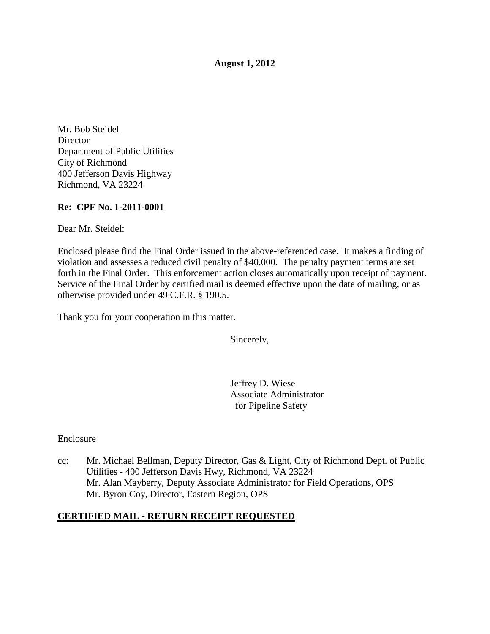**August 1, 2012**

Mr. Bob Steidel **Director** Department of Public Utilities City of Richmond 400 Jefferson Davis Highway Richmond, VA 23224

# **Re: CPF No. 1-2011-0001**

Dear Mr. Steidel:

Enclosed please find the Final Order issued in the above-referenced case. It makes a finding of violation and assesses a reduced civil penalty of \$40,000. The penalty payment terms are set forth in the Final Order. This enforcement action closes automatically upon receipt of payment. Service of the Final Order by certified mail is deemed effective upon the date of mailing, or as otherwise provided under 49 C.F.R. § 190.5.

Thank you for your cooperation in this matter.

Sincerely,

Jeffrey D. Wiese Associate Administrator for Pipeline Safety

Enclosure

cc: Mr. Michael Bellman, Deputy Director, Gas & Light, City of Richmond Dept. of Public Utilities - 400 Jefferson Davis Hwy, Richmond, VA 23224 Mr. Alan Mayberry, Deputy Associate Administrator for Field Operations, OPS Mr. Byron Coy, Director, Eastern Region, OPS

# **CERTIFIED MAIL - RETURN RECEIPT REQUESTED**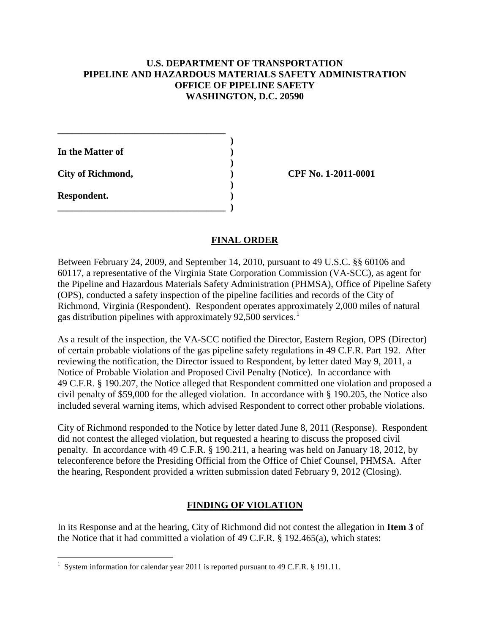# **U.S. DEPARTMENT OF TRANSPORTATION PIPELINE AND HAZARDOUS MATERIALS SAFETY ADMINISTRATION OFFICE OF PIPELINE SAFETY WASHINGTON, D.C. 20590**

**\_\_\_\_\_\_\_\_\_\_\_\_\_\_\_\_\_\_\_\_\_\_\_\_\_\_\_\_\_\_\_\_\_\_\_ ) In the Matter of ) ) City of Richmond, ) CPF No. 1-2011-0001 ) Respondent. ) \_\_\_\_\_\_\_\_\_\_\_\_\_\_\_\_\_\_\_\_\_\_\_\_\_\_\_\_\_\_\_\_\_\_\_ )**

# **FINAL ORDER**

Between February 24, 2009, and September 14, 2010, pursuant to 49 U.S.C. §§ 60106 and 60117, a representative of the Virginia State Corporation Commission (VA-SCC), as agent for the Pipeline and Hazardous Materials Safety Administration (PHMSA), Office of Pipeline Safety (OPS), conducted a safety inspection of the pipeline facilities and records of the City of Richmond, Virginia (Respondent). Respondent operates approximately 2,000 miles of natural gas distribution pipelines with approximately 92,500 services.<sup>[1](#page-1-0)</sup>

As a result of the inspection, the VA-SCC notified the Director, Eastern Region, OPS (Director) of certain probable violations of the gas pipeline safety regulations in 49 C.F.R. Part 192. After reviewing the notification, the Director issued to Respondent, by letter dated May 9, 2011, a Notice of Probable Violation and Proposed Civil Penalty (Notice). In accordance with 49 C.F.R. § 190.207, the Notice alleged that Respondent committed one violation and proposed a civil penalty of \$59,000 for the alleged violation. In accordance with § 190.205, the Notice also included several warning items, which advised Respondent to correct other probable violations.

City of Richmond responded to the Notice by letter dated June 8, 2011 (Response). Respondent did not contest the alleged violation, but requested a hearing to discuss the proposed civil penalty. In accordance with 49 C.F.R. § 190.211, a hearing was held on January 18, 2012, by teleconference before the Presiding Official from the Office of Chief Counsel, PHMSA. After the hearing, Respondent provided a written submission dated February 9, 2012 (Closing).

### **FINDING OF VIOLATION**

In its Response and at the hearing, City of Richmond did not contest the allegation in **Item 3** of the Notice that it had committed a violation of 49 C.F.R. § 192.465(a), which states:

<span id="page-1-0"></span> $\frac{1}{1}$ <sup>1</sup> System information for calendar year 2011 is reported pursuant to 49 C.F.R. § 191.11.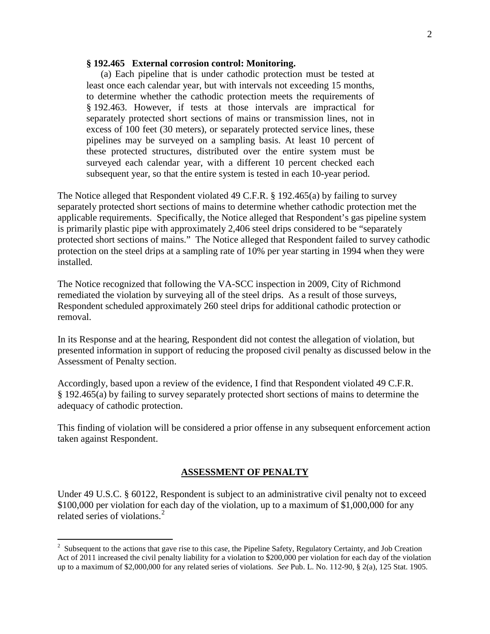### **§ 192.465 External corrosion control: Monitoring.**

(a) Each pipeline that is under cathodic protection must be tested at least once each calendar year, but with intervals not exceeding 15 months, to determine whether the cathodic protection meets the requirements of § 192.463. However, if tests at those intervals are impractical for separately protected short sections of mains or transmission lines, not in excess of 100 feet (30 meters), or separately protected service lines, these pipelines may be surveyed on a sampling basis. At least 10 percent of these protected structures, distributed over the entire system must be surveyed each calendar year, with a different 10 percent checked each subsequent year, so that the entire system is tested in each 10-year period.

The Notice alleged that Respondent violated 49 C.F.R. § 192.465(a) by failing to survey separately protected short sections of mains to determine whether cathodic protection met the applicable requirements. Specifically, the Notice alleged that Respondent's gas pipeline system is primarily plastic pipe with approximately 2,406 steel drips considered to be "separately protected short sections of mains." The Notice alleged that Respondent failed to survey cathodic protection on the steel drips at a sampling rate of 10% per year starting in 1994 when they were installed.

The Notice recognized that following the VA-SCC inspection in 2009, City of Richmond remediated the violation by surveying all of the steel drips. As a result of those surveys, Respondent scheduled approximately 260 steel drips for additional cathodic protection or removal.

In its Response and at the hearing, Respondent did not contest the allegation of violation, but presented information in support of reducing the proposed civil penalty as discussed below in the Assessment of Penalty section.

Accordingly, based upon a review of the evidence, I find that Respondent violated 49 C.F.R. § 192.465(a) by failing to survey separately protected short sections of mains to determine the adequacy of cathodic protection.

This finding of violation will be considered a prior offense in any subsequent enforcement action taken against Respondent.

### **ASSESSMENT OF PENALTY**

Under 49 U.S.C. § 60122, Respondent is subject to an administrative civil penalty not to exceed \$100,000 per violation for each day of the violation, up to a maximum of \$1,000,000 for any related series of violations.<sup>[2](#page-2-0)</sup>

<span id="page-2-0"></span> $\frac{1}{2}$ <sup>2</sup> Subsequent to the actions that gave rise to this case, the Pipeline Safety, Regulatory Certainty, and Job Creation Act of 2011 increased the civil penalty liability for a violation to \$200,000 per violation for each day of the violation up to a maximum of \$2,000,000 for any related series of violations. *See* Pub. L. No. 112-90, § 2(a), 125 Stat. 1905.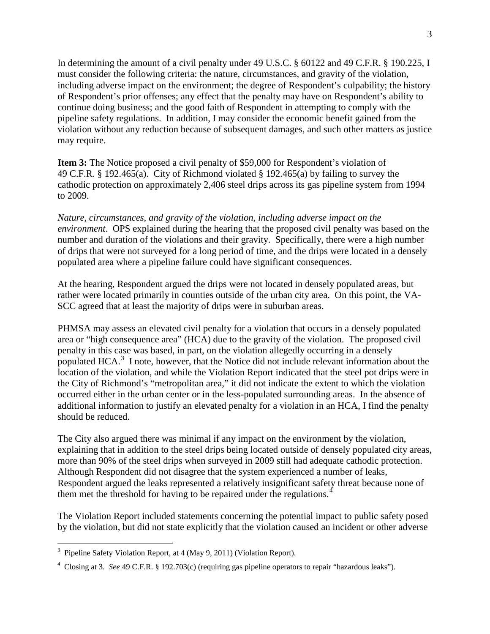In determining the amount of a civil penalty under 49 U.S.C. § 60122 and 49 C.F.R. § 190.225, I must consider the following criteria: the nature, circumstances, and gravity of the violation, including adverse impact on the environment; the degree of Respondent's culpability; the history of Respondent's prior offenses; any effect that the penalty may have on Respondent's ability to continue doing business; and the good faith of Respondent in attempting to comply with the pipeline safety regulations. In addition, I may consider the economic benefit gained from the violation without any reduction because of subsequent damages, and such other matters as justice may require.

**Item 3:** The Notice proposed a civil penalty of \$59,000 for Respondent's violation of 49 C.F.R. § 192.465(a). City of Richmond violated § 192.465(a) by failing to survey the cathodic protection on approximately 2,406 steel drips across its gas pipeline system from 1994 to 2009.

*Nature, circumstances, and gravity of the violation, including adverse impact on the environment*. OPS explained during the hearing that the proposed civil penalty was based on the number and duration of the violations and their gravity. Specifically, there were a high number of drips that were not surveyed for a long period of time, and the drips were located in a densely populated area where a pipeline failure could have significant consequences.

At the hearing, Respondent argued the drips were not located in densely populated areas, but rather were located primarily in counties outside of the urban city area. On this point, the VA-SCC agreed that at least the majority of drips were in suburban areas.

PHMSA may assess an elevated civil penalty for a violation that occurs in a densely populated area or "high consequence area" (HCA) due to the gravity of the violation. The proposed civil penalty in this case was based, in part, on the violation allegedly occurring in a densely populated HCA.<sup>[3](#page-3-0)</sup> I note, however, that the Notice did not include relevant information about the location of the violation, and while the Violation Report indicated that the steel pot drips were in the City of Richmond's "metropolitan area," it did not indicate the extent to which the violation occurred either in the urban center or in the less-populated surrounding areas. In the absence of additional information to justify an elevated penalty for a violation in an HCA, I find the penalty should be reduced.

The City also argued there was minimal if any impact on the environment by the violation, explaining that in addition to the steel drips being located outside of densely populated city areas, more than 90% of the steel drips when surveyed in 2009 still had adequate cathodic protection. Although Respondent did not disagree that the system experienced a number of leaks, Respondent argued the leaks represented a relatively insignificant safety threat because none of them met the threshold for having to be repaired under the regulations.<sup>[4](#page-3-1)</sup>

The Violation Report included statements concerning the potential impact to public safety posed by the violation, but did not state explicitly that the violation caused an incident or other adverse

<span id="page-3-0"></span><sup>&</sup>lt;sup>2</sup><br>3  $3$  Pipeline Safety Violation Report, at 4 (May 9, 2011) (Violation Report).

<span id="page-3-1"></span><sup>4</sup> Closing at 3. *See* 49 C.F.R. § 192.703(c) (requiring gas pipeline operators to repair "hazardous leaks").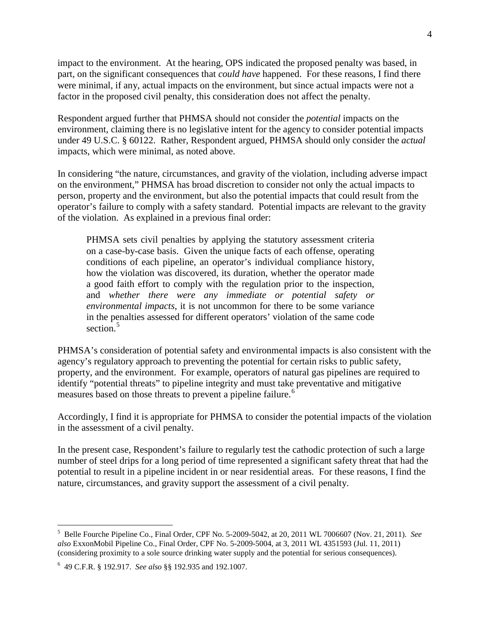impact to the environment. At the hearing, OPS indicated the proposed penalty was based, in part, on the significant consequences that *could have* happened. For these reasons, I find there were minimal, if any, actual impacts on the environment, but since actual impacts were not a factor in the proposed civil penalty, this consideration does not affect the penalty.

Respondent argued further that PHMSA should not consider the *potential* impacts on the environment, claiming there is no legislative intent for the agency to consider potential impacts under 49 U.S.C. § 60122. Rather, Respondent argued, PHMSA should only consider the *actual* impacts, which were minimal, as noted above.

In considering "the nature, circumstances, and gravity of the violation, including adverse impact on the environment," PHMSA has broad discretion to consider not only the actual impacts to person, property and the environment, but also the potential impacts that could result from the operator's failure to comply with a safety standard. Potential impacts are relevant to the gravity of the violation. As explained in a previous final order:

PHMSA sets civil penalties by applying the statutory assessment criteria on a case-by-case basis. Given the unique facts of each offense, operating conditions of each pipeline, an operator's individual compliance history, how the violation was discovered, its duration, whether the operator made a good faith effort to comply with the regulation prior to the inspection, and *whether there were any immediate or potential safety or environmental impacts*, it is not uncommon for there to be some variance in the penalties assessed for different operators' violation of the same code section.<sup>[5](#page-4-0)</sup>

PHMSA's consideration of potential safety and environmental impacts is also consistent with the agency's regulatory approach to preventing the potential for certain risks to public safety, property, and the environment. For example, operators of natural gas pipelines are required to identify "potential threats" to pipeline integrity and must take preventative and mitigative measures based on those threats to prevent a pipeline failure.<sup>[6](#page-4-1)</sup>

Accordingly, I find it is appropriate for PHMSA to consider the potential impacts of the violation in the assessment of a civil penalty.

In the present case, Respondent's failure to regularly test the cathodic protection of such a large number of steel drips for a long period of time represented a significant safety threat that had the potential to result in a pipeline incident in or near residential areas. For these reasons, I find the nature, circumstances, and gravity support the assessment of a civil penalty.

<span id="page-4-0"></span> $\frac{1}{5}$  Belle Fourche Pipeline Co., Final Order, CPF No. 5-2009-5042, at 20, 2011 WL 7006607 (Nov. 21, 2011). *See also* ExxonMobil Pipeline Co., Final Order, CPF No. 5-2009-5004, at 3, 2011 WL 4351593 (Jul. 11, 2011) (considering proximity to a sole source drinking water supply and the potential for serious consequences).

<span id="page-4-1"></span><sup>6</sup> 49 C.F.R. § 192.917. *See also* §§ 192.935 and 192.1007.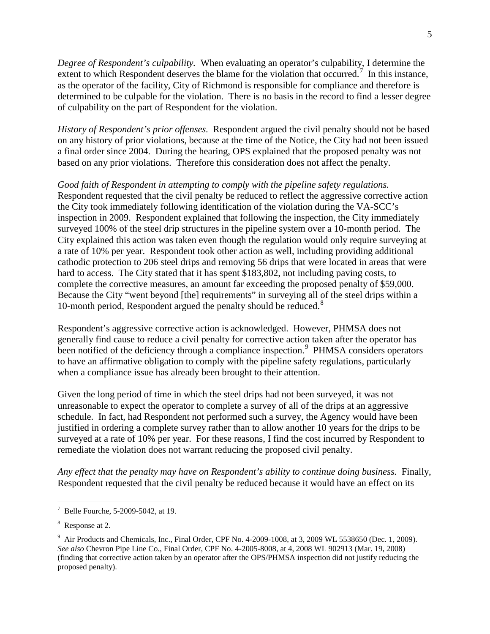*Degree of Respondent's culpability.* When evaluating an operator's culpability, I determine the extent to which Respondent deserves the blame for the violation that occurred.<sup>[7](#page-5-0)</sup> In this instance, as the operator of the facility, City of Richmond is responsible for compliance and therefore is determined to be culpable for the violation. There is no basis in the record to find a lesser degree of culpability on the part of Respondent for the violation.

*History of Respondent's prior offenses.* Respondent argued the civil penalty should not be based on any history of prior violations, because at the time of the Notice, the City had not been issued a final order since 2004. During the hearing, OPS explained that the proposed penalty was not based on any prior violations. Therefore this consideration does not affect the penalty.

*Good faith of Respondent in attempting to comply with the pipeline safety regulations.* Respondent requested that the civil penalty be reduced to reflect the aggressive corrective action the City took immediately following identification of the violation during the VA-SCC's inspection in 2009. Respondent explained that following the inspection, the City immediately surveyed 100% of the steel drip structures in the pipeline system over a 10-month period. The City explained this action was taken even though the regulation would only require surveying at a rate of 10% per year. Respondent took other action as well, including providing additional cathodic protection to 206 steel drips and removing 56 drips that were located in areas that were hard to access. The City stated that it has spent \$183,802, not including paving costs, to complete the corrective measures, an amount far exceeding the proposed penalty of \$59,000. Because the City "went beyond [the] requirements" in surveying all of the steel drips within a 10-month period, Respondent argued the penalty should be reduced.<sup>[8](#page-5-1)</sup>

Respondent's aggressive corrective action is acknowledged. However, PHMSA does not generally find cause to reduce a civil penalty for corrective action taken after the operator has been notified of the deficiency through a compliance inspection.<sup>[9](#page-5-2)</sup> PHMSA considers operators to have an affirmative obligation to comply with the pipeline safety regulations, particularly when a compliance issue has already been brought to their attention.

Given the long period of time in which the steel drips had not been surveyed, it was not unreasonable to expect the operator to complete a survey of all of the drips at an aggressive schedule. In fact, had Respondent not performed such a survey, the Agency would have been justified in ordering a complete survey rather than to allow another 10 years for the drips to be surveyed at a rate of 10% per year. For these reasons, I find the cost incurred by Respondent to remediate the violation does not warrant reducing the proposed civil penalty.

*Any effect that the penalty may have on Respondent's ability to continue doing business.* Finally, Respondent requested that the civil penalty be reduced because it would have an effect on its

<span id="page-5-0"></span><sup>-&</sup>lt;br>7 <sup>7</sup> Belle Fourche, 5-2009-5042, at 19.

<span id="page-5-1"></span><sup>&</sup>lt;sup>8</sup> Response at 2.

<span id="page-5-2"></span> $9$  Air Products and Chemicals, Inc., Final Order, CPF No. 4-2009-1008, at 3, 2009 WL 5538650 (Dec. 1, 2009). *See also* Chevron Pipe Line Co., Final Order, CPF No. 4-2005-8008, at 4, 2008 WL 902913 (Mar. 19, 2008) (finding that corrective action taken by an operator after the OPS/PHMSA inspection did not justify reducing the proposed penalty).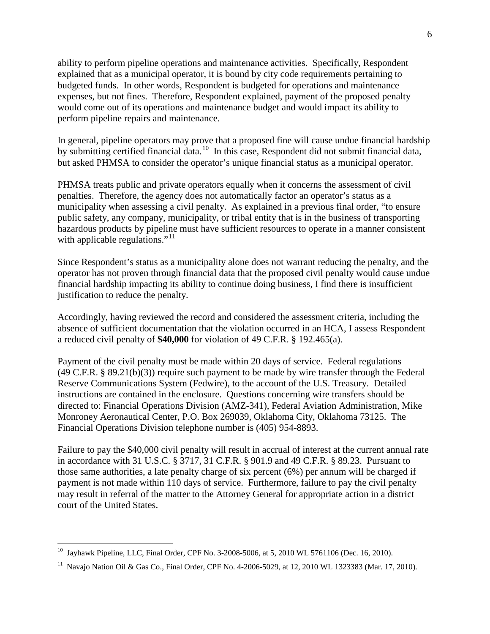ability to perform pipeline operations and maintenance activities. Specifically, Respondent explained that as a municipal operator, it is bound by city code requirements pertaining to budgeted funds. In other words, Respondent is budgeted for operations and maintenance expenses, but not fines. Therefore, Respondent explained, payment of the proposed penalty would come out of its operations and maintenance budget and would impact its ability to perform pipeline repairs and maintenance.

In general, pipeline operators may prove that a proposed fine will cause undue financial hardship by submitting certified financial data.<sup>[10](#page-6-0)</sup> In this case, Respondent did not submit financial data, but asked PHMSA to consider the operator's unique financial status as a municipal operator.

PHMSA treats public and private operators equally when it concerns the assessment of civil penalties. Therefore, the agency does not automatically factor an operator's status as a municipality when assessing a civil penalty. As explained in a previous final order, "to ensure public safety, any company, municipality, or tribal entity that is in the business of transporting hazardous products by pipeline must have sufficient resources to operate in a manner consistent with applicable regulations." $11$ 

Since Respondent's status as a municipality alone does not warrant reducing the penalty, and the operator has not proven through financial data that the proposed civil penalty would cause undue financial hardship impacting its ability to continue doing business, I find there is insufficient justification to reduce the penalty.

Accordingly, having reviewed the record and considered the assessment criteria, including the absence of sufficient documentation that the violation occurred in an HCA, I assess Respondent a reduced civil penalty of **\$40,000** for violation of 49 C.F.R. § 192.465(a).

Payment of the civil penalty must be made within 20 days of service. Federal regulations (49 C.F.R. § 89.21(b)(3)) require such payment to be made by wire transfer through the Federal Reserve Communications System (Fedwire), to the account of the U.S. Treasury. Detailed instructions are contained in the enclosure. Questions concerning wire transfers should be directed to: Financial Operations Division (AMZ-341), Federal Aviation Administration, Mike Monroney Aeronautical Center, P.O. Box 269039, Oklahoma City, Oklahoma 73125. The Financial Operations Division telephone number is (405) 954-8893.

Failure to pay the \$40,000 civil penalty will result in accrual of interest at the current annual rate in accordance with 31 U.S.C. § 3717, 31 C.F.R. § 901.9 and 49 C.F.R. § 89.23. Pursuant to those same authorities, a late penalty charge of six percent (6%) per annum will be charged if payment is not made within 110 days of service. Furthermore, failure to pay the civil penalty may result in referral of the matter to the Attorney General for appropriate action in a district court of the United States.

<span id="page-6-0"></span><sup>&</sup>lt;sup>10</sup> Jayhawk Pipeline, LLC, Final Order, CPF No. 3-2008-5006, at 5, 2010 WL 5761106 (Dec. 16, 2010).

<span id="page-6-1"></span><sup>&</sup>lt;sup>11</sup> Navajo Nation Oil & Gas Co., Final Order, CPF No. 4-2006-5029, at 12, 2010 WL 1323383 (Mar. 17, 2010).